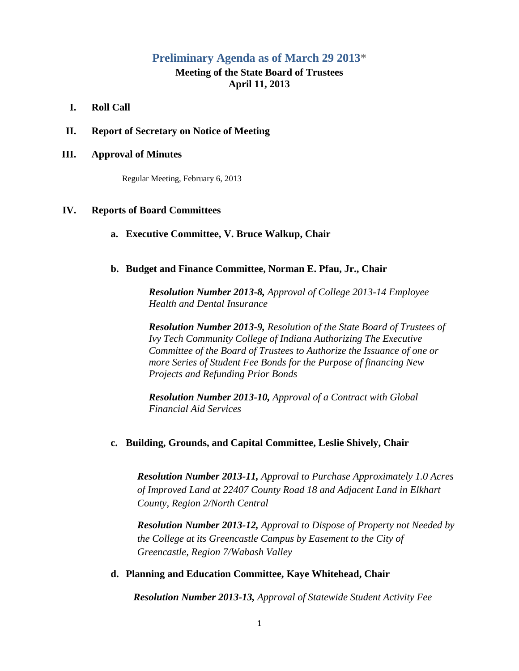# **Preliminary Agenda as of March 29 2013\***

# **Meeting of the State Board of Trustees April 11, 2013**

- **I. Roll Call**
- **II. Report of Secretary on Notice of Meeting**

### **III. Approval of Minutes**

Regular Meeting, February 6, 2013

# **IV. Reports of Board Committees**

#### **a. Executive Committee, V. Bruce Walkup, Chair**

## **b. Budget and Finance Committee, Norman E. Pfau, Jr., Chair**

*Resolution Number 2013-8, Approval of College 2013-14 Employee Health and Dental Insurance*

*Resolution Number 2013-9, Resolution of the State Board of Trustees of Ivy Tech Community College of Indiana Authorizing The Executive Committee of the Board of Trustees to Authorize the Issuance of one or more Series of Student Fee Bonds for the Purpose of financing New Projects and Refunding Prior Bonds*

*Resolution Number 2013-10, Approval of a Contract with Global Financial Aid Services*

#### **c. Building, Grounds, and Capital Committee, Leslie Shively, Chair**

*Resolution Number 2013-11, Approval to Purchase Approximately 1.0 Acres of Improved Land at 22407 County Road 18 and Adjacent Land in Elkhart County, Region 2/North Central*

*Resolution Number 2013-12, Approval to Dispose of Property not Needed by the College at its Greencastle Campus by Easement to the City of Greencastle, Region 7/Wabash Valley*

#### **d. Planning and Education Committee, Kaye Whitehead, Chair**

 *Resolution Number 2013-13, Approval of Statewide Student Activity Fee*